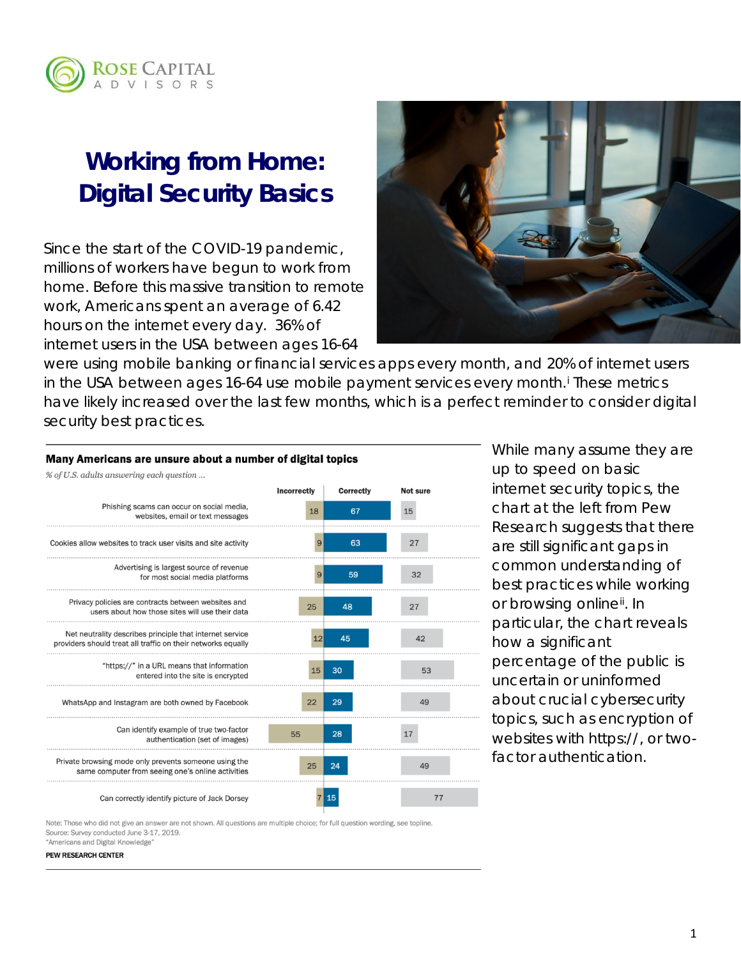

# **Working from Home: Digital Security Basics**

Since the start of the COVID-19 pandemic, millions of workers have begun to work from home. Before this massive transition to remote work, Americans spent an average of 6.42 hours on the internet every day. 36% of internet users in the USA between ages 16-64



were using mobile banking or financial services apps every month, and 20% of internet users [i](#page-4-0)n the USA between ages 16-64 use mobile payment services every month.<sup>i</sup> These metrics have likely increased over the last few months, which is a perfect reminder to consider digital security best practices.

#### Many Americans are unsure about a number of digital topics

|  | % of U.S. adults answering each question |  |  |
|--|------------------------------------------|--|--|
|  |                                          |  |  |

|                                                                                                                          | <b>Incorrectly</b> | <b>Correctly</b> | Not sure |  |
|--------------------------------------------------------------------------------------------------------------------------|--------------------|------------------|----------|--|
| Phishing scams can occur on social media,<br>websites, email or text messages                                            | 18                 | 67               | 15       |  |
| Cookies allow websites to track user visits and site activity                                                            | 9                  | 63               | 27       |  |
| Advertising is largest source of revenue<br>for most social media platforms                                              | 9                  | 59               | 32       |  |
| Privacy policies are contracts between websites and<br>users about how those sites will use their data                   | 25                 | 48               | 27       |  |
| Net neutrality describes principle that internet service<br>providers should treat all traffic on their networks equally | 12                 | 45               | 42       |  |
| "https://" in a URL means that information<br>entered into the site is encrypted                                         | 15                 | 30               | 53       |  |
| WhatsApp and Instagram are both owned by Facebook                                                                        | 22                 | 29               | 49       |  |
| Can identify example of true two-factor<br>authentication (set of images)                                                | 55                 | 28               | 17       |  |
| Private browsing mode only prevents someone using the<br>same computer from seeing one's online activities               | 25                 | 24               | 49       |  |
| Can correctly identify picture of Jack Dorsey                                                                            |                    | 15               | 77       |  |

While many assume they are up to speed on basic internet security topics, the chart at the left from Pew Research suggests that there are still significant gaps in common understanding of best practices while working or browsing online<sup>ii</sup>. In particular, the chart reveals how a significant percentage of the public is uncertain or uninformed about crucial cybersecurity topics, such as encryption of websites with https://, or twofactor authentication.

Note: Those who did not give an answer are not shown. All questions are multiple choice; for full question wording, see topline. Source: Survey conducted June 3-17, 2019. "Americans and Digital Knowledge"

PEW RESEARCH CENTER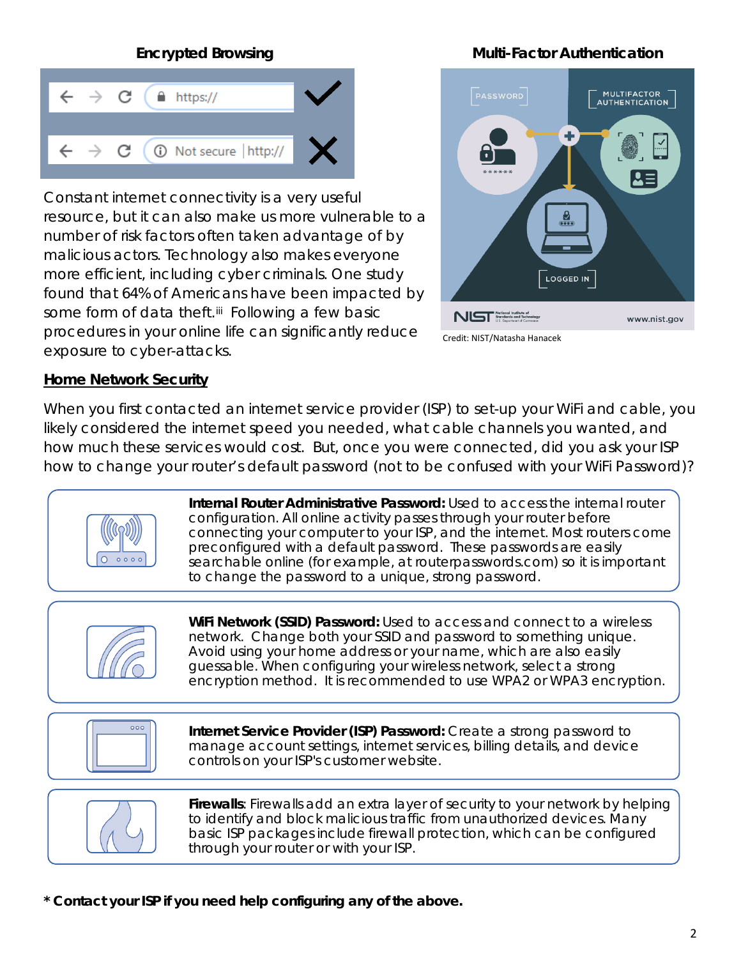## C  $\hat{=}$  https:// 10 Not secure | http:// C

Constant internet connectivity is a very useful resource, but it can also make us more vulnerable to a number of risk factors often taken advantage of by malicious actors. Technology also makes everyone more efficient, including cyber criminals. One study found that 64% of Americans have been impacted by some form of data theft.<sup>iij</sup> Following a few basic procedures in your online life can significantly reduce exposure to cyber-attacks.

## **Encrypted Browsing Community Community Community Community Community Community Community Community Community Community Community Community Community Community Community Community Community Community Community Community Co**



#### Credit: NIST/Natasha Hanacek

#### **Home Network Security**

When you first contacted an internet service provider (ISP) to set-up your WiFi and cable, you likely considered the internet speed you needed, what cable channels you wanted, and how much these services would cost. But, once you were connected, did you ask your ISP how to change your router's default password (not to be confused with your WiFi Password)?



**Internal Router Administrative Password:** Used to access the internal router configuration. All online activity passes through your router before connecting your computer to your ISP, and the internet. Most routers come preconfigured with a default password. These passwords are easily searchable online (for example, at routerpasswords.com) so it is important to change the password to a unique, strong password.



**WiFi Network (SSID) Password:** Used to access and connect to a wireless network. Change both your SSID and password to something unique. Avoid using your home address or your name, which are also easily guessable. When configuring your wireless network, select a strong encryption method. It is recommended to use WPA2 or WPA3 encryption.



**Internet Service Provider (ISP) Password:** Create a strong password to manage account settings, internet services, billing details, and device controls on your ISP's customer website.



**Firewalls**: Firewalls add an extra layer of security to your network by helping to identify and block malicious traffic from unauthorized devices. Many basic ISP packages include firewall protection, which can be configured through your router or with your ISP.

**\* Contact your ISP if you need help configuring any of the above.**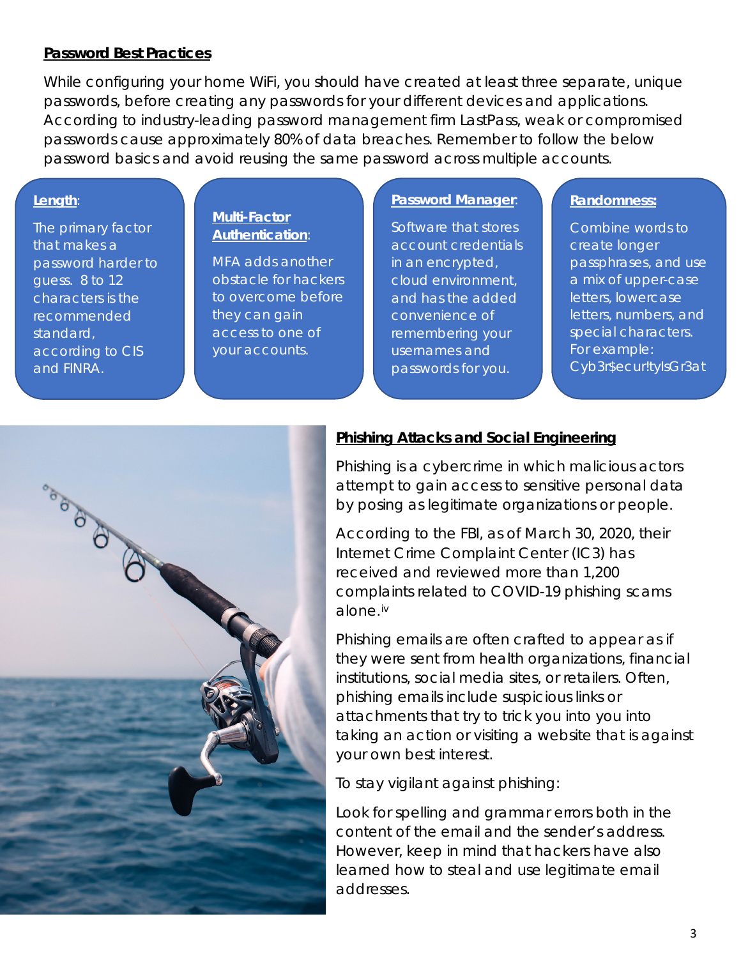#### **Password Best Practices**

While configuring your home WiFi, you should have created at least three separate, unique passwords, before creating any passwords for your different devices and applications. According to industry-leading password management firm LastPass, weak or compromised passwords cause approximately 80% of data breaches. Remember to follow the below password basics and avoid reusing the same password across multiple accounts.

#### **Length**:

The primary factor that makes a password harder to guess. 8 to 12 characters is the recommended standard, according to CIS and FINRA.

#### **Multi-Factor Authentication**:

MFA adds another obstacle for hackers to overcome before they can gain access to one of your accounts.

#### **Password Manager**:

Software that stores account credentials in an encrypted, cloud environment, and has the added convenience of remembering your usernames and passwords for you.

#### **Randomness:**

Combine words to create longer passphrases, and use a mix of upper-case letters, lowercase letters, numbers, and special characters. For example: Cyb3r\$ecur!tyIsGr3at



#### **Phishing Attacks and Social Engineering**

Phishing is a cybercrime in which malicious actors attempt to gain access to sensitive personal data by posing as legitimate organizations or people.

According to the FBI, as of March 30, 2020, their Internet Crime Complaint Center (IC3) has received and reviewed more than 1,200 complaints related to COVID-19 phishing scams alone.[iv](#page-4-3)

Phishing emails are often crafted to appear as if they were sent from health organizations, financial institutions, social media sites, or retailers. Often, phishing emails include suspicious links or attachments that try to trick you into you into taking an action or visiting a website that is against your own best interest.

To stay vigilant against phishing:

Look for spelling and grammar errors both in the content of the email and the sender's address. However, keep in mind that hackers have also learned how to steal and use legitimate email addresses.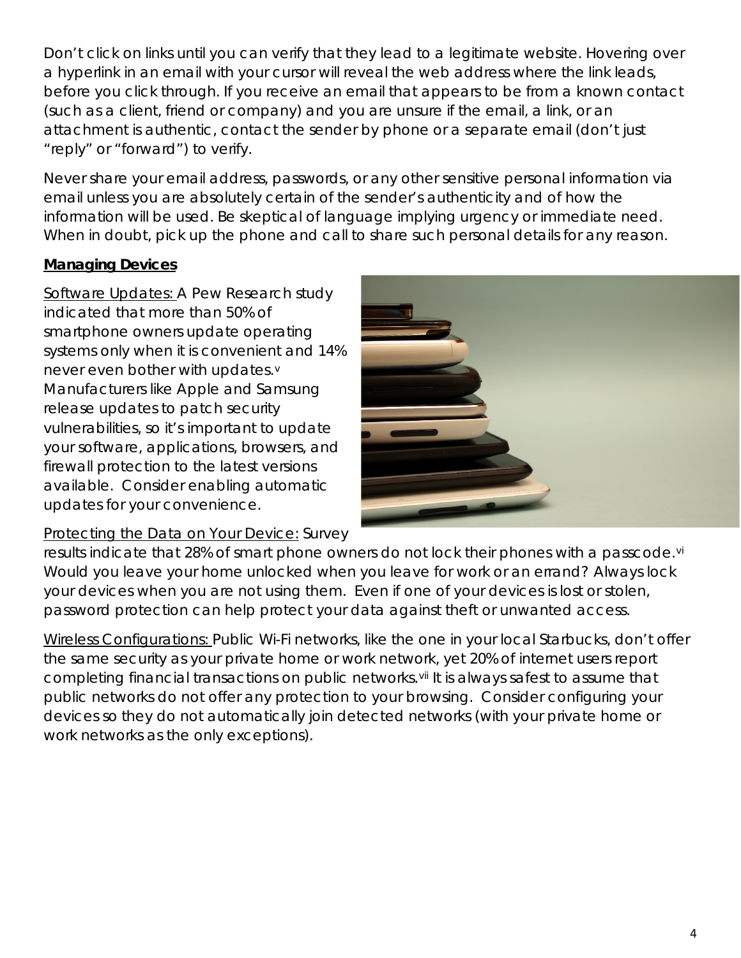Don't click on links until you can verify that they lead to a legitimate website. Hovering over a hyperlink in an email with your cursor will reveal the web address where the link leads, before you click through. If you receive an email that appears to be from a known contact (such as a client, friend or company) and you are unsure if the email, a link, or an attachment is authentic, contact the sender by phone or a separate email (don't just "reply" or "forward") to verify.

Never share your email address, passwords, or any other sensitive personal information via email unless you are absolutely certain of the sender's authenticity and of how the information will be used. Be skeptical of language implying urgency or immediate need. When in doubt, pick up the phone and call to share such personal details for any reason.

## **Managing Devices**

Software Updates: A Pew Research study indicated that more than 50% of smartphone owners update operating systems only when it is convenient and 14% ne[v](#page-4-4)er even bother with updates.<sup>v</sup> Manufacturers like Apple and Samsung release updates to patch security vulnerabilities, so it's important to update your software, applications, browsers, and firewall protection to the latest versions available. Consider enabling automatic updates for your convenience.

## Protecting the Data on Your Device: Survey



results indicate that 28% of smart phone owners do not lock their phones with a passcode.<sup>[vi](#page-4-5)</sup> Would you leave your home unlocked when you leave for work or an errand? Always lock your devices when you are not using them. Even if one of your devices is lost or stolen, password protection can help protect your data against theft or unwanted access.

Wireless Configurations: Public Wi-Fi networks, like the one in your local Starbucks, don't offer the same security as your private home or work network, yet 20% of internet users report completing financial transactions on public networks. Vii It is always safest to assume that public networks do not offer any protection to your browsing. Consider configuring your devices so they do not automatically join detected networks (with your private home or work networks as the only exceptions).